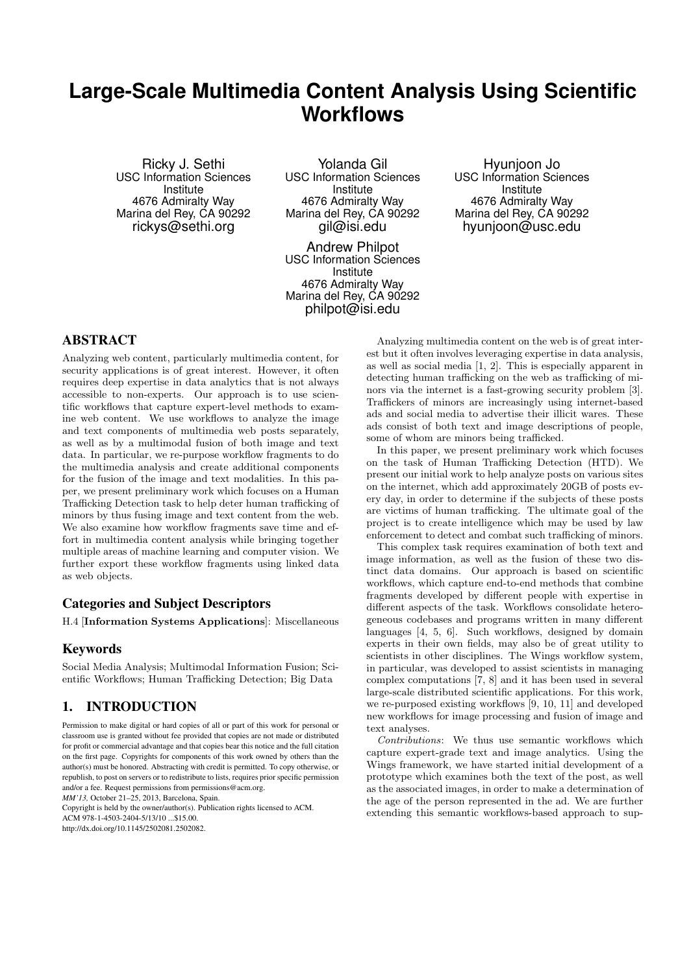# **Large-Scale Multimedia Content Analysis Using Scientific Workflows**

Ricky J. Sethi USC Information Sciences Institute 4676 Admiralty Way Marina del Rey, CA 90292 rickys@sethi.org

Yolanda Gil USC Information Sciences Institute 4676 Admiralty Way Marina del Rey, CA 90292 gil@isi.edu

Andrew Philpot USC Information Sciences Institute 4676 Admiralty Way Marina del Rey, CA 90292 philpot@isi.edu

Hyunjoon Jo USC Information Sciences Institute 4676 Admiralty Way Marina del Rey, CA 90292 hyunjoon@usc.edu

# ABSTRACT

Analyzing web content, particularly multimedia content, for security applications is of great interest. However, it often requires deep expertise in data analytics that is not always accessible to non-experts. Our approach is to use scientific workflows that capture expert-level methods to examine web content. We use workflows to analyze the image and text components of multimedia web posts separately, as well as by a multimodal fusion of both image and text data. In particular, we re-purpose workflow fragments to do the multimedia analysis and create additional components for the fusion of the image and text modalities. In this paper, we present preliminary work which focuses on a Human Trafficking Detection task to help deter human trafficking of minors by thus fusing image and text content from the web. We also examine how workflow fragments save time and effort in multimedia content analysis while bringing together multiple areas of machine learning and computer vision. We further export these workflow fragments using linked data as web objects.

## Categories and Subject Descriptors

H.4 [Information Systems Applications]: Miscellaneous

## Keywords

Social Media Analysis; Multimodal Information Fusion; Scientific Workflows; Human Trafficking Detection; Big Data

# 1. INTRODUCTION

*MM'13,* October 21–25, 2013, Barcelona, Spain.

Copyright is held by the owner/author(s). Publication rights licensed to ACM. ACM 978-1-4503-2404-5/13/10 \$15.00

http://dx.doi.org/10.1145/2502081.2502082.

Analyzing multimedia content on the web is of great interest but it often involves leveraging expertise in data analysis, as well as social media [1, 2]. This is especially apparent in detecting human trafficking on the web as trafficking of minors via the internet is a fast-growing security problem [3]. Traffickers of minors are increasingly using internet-based ads and social media to advertise their illicit wares. These ads consist of both text and image descriptions of people, some of whom are minors being trafficked.

In this paper, we present preliminary work which focuses on the task of Human Trafficking Detection (HTD). We present our initial work to help analyze posts on various sites on the internet, which add approximately 20GB of posts every day, in order to determine if the subjects of these posts are victims of human trafficking. The ultimate goal of the project is to create intelligence which may be used by law enforcement to detect and combat such trafficking of minors.

This complex task requires examination of both text and image information, as well as the fusion of these two distinct data domains. Our approach is based on scientific workflows, which capture end-to-end methods that combine fragments developed by different people with expertise in different aspects of the task. Workflows consolidate heterogeneous codebases and programs written in many different languages [4, 5, 6]. Such workflows, designed by domain experts in their own fields, may also be of great utility to scientists in other disciplines. The Wings workflow system, in particular, was developed to assist scientists in managing complex computations [7, 8] and it has been used in several large-scale distributed scientific applications. For this work, we re-purposed existing workflows [9, 10, 11] and developed new workflows for image processing and fusion of image and text analyses.

Contributions: We thus use semantic workflows which capture expert-grade text and image analytics. Using the Wings framework, we have started initial development of a prototype which examines both the text of the post, as well as the associated images, in order to make a determination of the age of the person represented in the ad. We are further extending this semantic workflows-based approach to sup-

Permission to make digital or hard copies of all or part of this work for personal or classroom use is granted without fee provided that copies are not made or distributed for profit or commercial advantage and that copies bear this notice and the full citation on the first page. Copyrights for components of this work owned by others than the author(s) must be honored. Abstracting with credit is permitted. To copy otherwise, or republish, to post on servers or to redistribute to lists, requires prior specific permission and/or a fee. Request permissions from permissions@acm.org.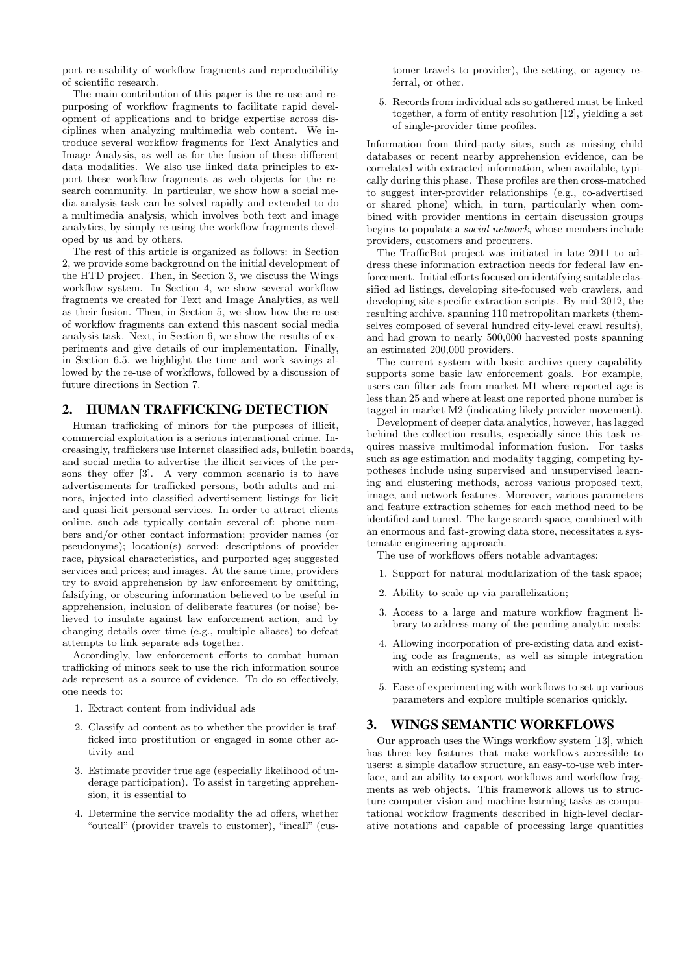port re-usability of workflow fragments and reproducibility of scientific research.

The main contribution of this paper is the re-use and repurposing of workflow fragments to facilitate rapid development of applications and to bridge expertise across disciplines when analyzing multimedia web content. We introduce several workflow fragments for Text Analytics and Image Analysis, as well as for the fusion of these different data modalities. We also use linked data principles to export these workflow fragments as web objects for the research community. In particular, we show how a social media analysis task can be solved rapidly and extended to do a multimedia analysis, which involves both text and image analytics, by simply re-using the workflow fragments developed by us and by others.

The rest of this article is organized as follows: in Section 2, we provide some background on the initial development of the HTD project. Then, in Section 3, we discuss the Wings workflow system. In Section 4, we show several workflow fragments we created for Text and Image Analytics, as well as their fusion. Then, in Section 5, we show how the re-use of workflow fragments can extend this nascent social media analysis task. Next, in Section 6, we show the results of experiments and give details of our implementation. Finally, in Section 6.5, we highlight the time and work savings allowed by the re-use of workflows, followed by a discussion of future directions in Section 7.

# 2. HUMAN TRAFFICKING DETECTION

Human trafficking of minors for the purposes of illicit, commercial exploitation is a serious international crime. Increasingly, traffickers use Internet classified ads, bulletin boards, and social media to advertise the illicit services of the persons they offer [3]. A very common scenario is to have advertisements for trafficked persons, both adults and minors, injected into classified advertisement listings for licit and quasi-licit personal services. In order to attract clients online, such ads typically contain several of: phone numbers and/or other contact information; provider names (or pseudonyms); location(s) served; descriptions of provider race, physical characteristics, and purported age; suggested services and prices; and images. At the same time, providers try to avoid apprehension by law enforcement by omitting, falsifying, or obscuring information believed to be useful in apprehension, inclusion of deliberate features (or noise) believed to insulate against law enforcement action, and by changing details over time (e.g., multiple aliases) to defeat attempts to link separate ads together.

Accordingly, law enforcement efforts to combat human trafficking of minors seek to use the rich information source ads represent as a source of evidence. To do so effectively, one needs to:

- 1. Extract content from individual ads
- 2. Classify ad content as to whether the provider is trafficked into prostitution or engaged in some other activity and
- 3. Estimate provider true age (especially likelihood of underage participation). To assist in targeting apprehension, it is essential to
- 4. Determine the service modality the ad offers, whether "outcall" (provider travels to customer), "incall" (cus-

tomer travels to provider), the setting, or agency referral, or other.

5. Records from individual ads so gathered must be linked together, a form of entity resolution [12], yielding a set of single-provider time profiles.

Information from third-party sites, such as missing child databases or recent nearby apprehension evidence, can be correlated with extracted information, when available, typically during this phase. These profiles are then cross-matched to suggest inter-provider relationships (e.g., co-advertised or shared phone) which, in turn, particularly when combined with provider mentions in certain discussion groups begins to populate a social network, whose members include providers, customers and procurers.

The TrafficBot project was initiated in late 2011 to address these information extraction needs for federal law enforcement. Initial efforts focused on identifying suitable classified ad listings, developing site-focused web crawlers, and developing site-specific extraction scripts. By mid-2012, the resulting archive, spanning 110 metropolitan markets (themselves composed of several hundred city-level crawl results), and had grown to nearly 500,000 harvested posts spanning an estimated 200,000 providers.

The current system with basic archive query capability supports some basic law enforcement goals. For example, users can filter ads from market M1 where reported age is less than 25 and where at least one reported phone number is tagged in market M2 (indicating likely provider movement).

Development of deeper data analytics, however, has lagged behind the collection results, especially since this task requires massive multimodal information fusion. For tasks such as age estimation and modality tagging, competing hypotheses include using supervised and unsupervised learning and clustering methods, across various proposed text, image, and network features. Moreover, various parameters and feature extraction schemes for each method need to be identified and tuned. The large search space, combined with an enormous and fast-growing data store, necessitates a systematic engineering approach.

The use of workflows offers notable advantages:

- 1. Support for natural modularization of the task space;
- 2. Ability to scale up via parallelization;
- 3. Access to a large and mature workflow fragment library to address many of the pending analytic needs;
- 4. Allowing incorporation of pre-existing data and existing code as fragments, as well as simple integration with an existing system; and
- 5. Ease of experimenting with workflows to set up various parameters and explore multiple scenarios quickly.

# 3. WINGS SEMANTIC WORKFLOWS

Our approach uses the Wings workflow system [13], which has three key features that make workflows accessible to users: a simple dataflow structure, an easy-to-use web interface, and an ability to export workflows and workflow fragments as web objects. This framework allows us to structure computer vision and machine learning tasks as computational workflow fragments described in high-level declarative notations and capable of processing large quantities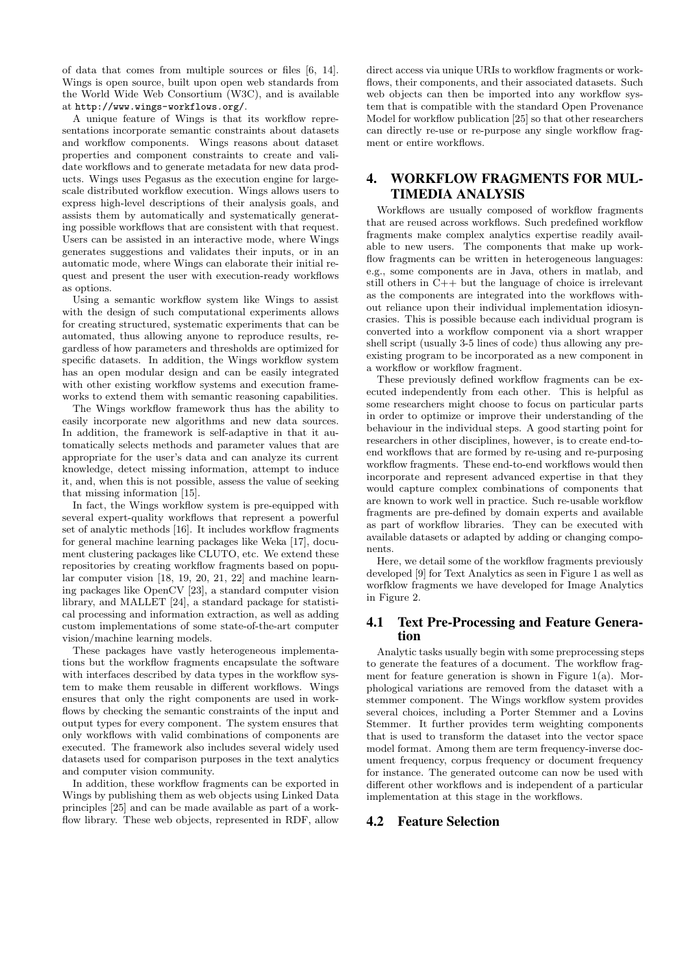of data that comes from multiple sources or files [6, 14]. Wings is open source, built upon open web standards from the World Wide Web Consortium (W3C), and is available at http://www.wings-workflows.org/.

A unique feature of Wings is that its workflow representations incorporate semantic constraints about datasets and workflow components. Wings reasons about dataset properties and component constraints to create and validate workflows and to generate metadata for new data products. Wings uses Pegasus as the execution engine for largescale distributed workflow execution. Wings allows users to express high-level descriptions of their analysis goals, and assists them by automatically and systematically generating possible workflows that are consistent with that request. Users can be assisted in an interactive mode, where Wings generates suggestions and validates their inputs, or in an automatic mode, where Wings can elaborate their initial request and present the user with execution-ready workflows as options.

Using a semantic workflow system like Wings to assist with the design of such computational experiments allows for creating structured, systematic experiments that can be automated, thus allowing anyone to reproduce results, regardless of how parameters and thresholds are optimized for specific datasets. In addition, the Wings workflow system has an open modular design and can be easily integrated with other existing workflow systems and execution frameworks to extend them with semantic reasoning capabilities.

The Wings workflow framework thus has the ability to easily incorporate new algorithms and new data sources. In addition, the framework is self-adaptive in that it automatically selects methods and parameter values that are appropriate for the user's data and can analyze its current knowledge, detect missing information, attempt to induce it, and, when this is not possible, assess the value of seeking that missing information [15].

In fact, the Wings workflow system is pre-equipped with several expert-quality workflows that represent a powerful set of analytic methods [16]. It includes workflow fragments for general machine learning packages like Weka [17], document clustering packages like CLUTO, etc. We extend these repositories by creating workflow fragments based on popular computer vision [18, 19, 20, 21, 22] and machine learning packages like OpenCV [23], a standard computer vision library, and MALLET [24], a standard package for statistical processing and information extraction, as well as adding custom implementations of some state-of-the-art computer vision/machine learning models.

These packages have vastly heterogeneous implementations but the workflow fragments encapsulate the software with interfaces described by data types in the workflow system to make them reusable in different workflows. Wings ensures that only the right components are used in workflows by checking the semantic constraints of the input and output types for every component. The system ensures that only workflows with valid combinations of components are executed. The framework also includes several widely used datasets used for comparison purposes in the text analytics and computer vision community.

In addition, these workflow fragments can be exported in Wings by publishing them as web objects using Linked Data principles [25] and can be made available as part of a workflow library. These web objects, represented in RDF, allow

direct access via unique URIs to workflow fragments or workflows, their components, and their associated datasets. Such web objects can then be imported into any workflow system that is compatible with the standard Open Provenance Model for workflow publication [25] so that other researchers can directly re-use or re-purpose any single workflow fragment or entire workflows.

# 4. WORKFLOW FRAGMENTS FOR MUL-TIMEDIA ANALYSIS

Workflows are usually composed of workflow fragments that are reused across workflows. Such predefined workflow fragments make complex analytics expertise readily available to new users. The components that make up workflow fragments can be written in heterogeneous languages: e.g., some components are in Java, others in matlab, and still others in C++ but the language of choice is irrelevant as the components are integrated into the workflows without reliance upon their individual implementation idiosyncrasies. This is possible because each individual program is converted into a workflow component via a short wrapper shell script (usually 3-5 lines of code) thus allowing any preexisting program to be incorporated as a new component in a workflow or workflow fragment.

These previously defined workflow fragments can be executed independently from each other. This is helpful as some researchers might choose to focus on particular parts in order to optimize or improve their understanding of the behaviour in the individual steps. A good starting point for researchers in other disciplines, however, is to create end-toend workflows that are formed by re-using and re-purposing workflow fragments. These end-to-end workflows would then incorporate and represent advanced expertise in that they would capture complex combinations of components that are known to work well in practice. Such re-usable workflow fragments are pre-defined by domain experts and available as part of workflow libraries. They can be executed with available datasets or adapted by adding or changing components.

Here, we detail some of the workflow fragments previously developed [9] for Text Analytics as seen in Figure 1 as well as worfklow fragments we have developed for Image Analytics in Figure 2.

## 4.1 Text Pre-Processing and Feature Generation

Analytic tasks usually begin with some preprocessing steps to generate the features of a document. The workflow fragment for feature generation is shown in Figure 1(a). Morphological variations are removed from the dataset with a stemmer component. The Wings workflow system provides several choices, including a Porter Stemmer and a Lovins Stemmer. It further provides term weighting components that is used to transform the dataset into the vector space model format. Among them are term frequency-inverse document frequency, corpus frequency or document frequency for instance. The generated outcome can now be used with different other workflows and is independent of a particular implementation at this stage in the workflows.

## 4.2 Feature Selection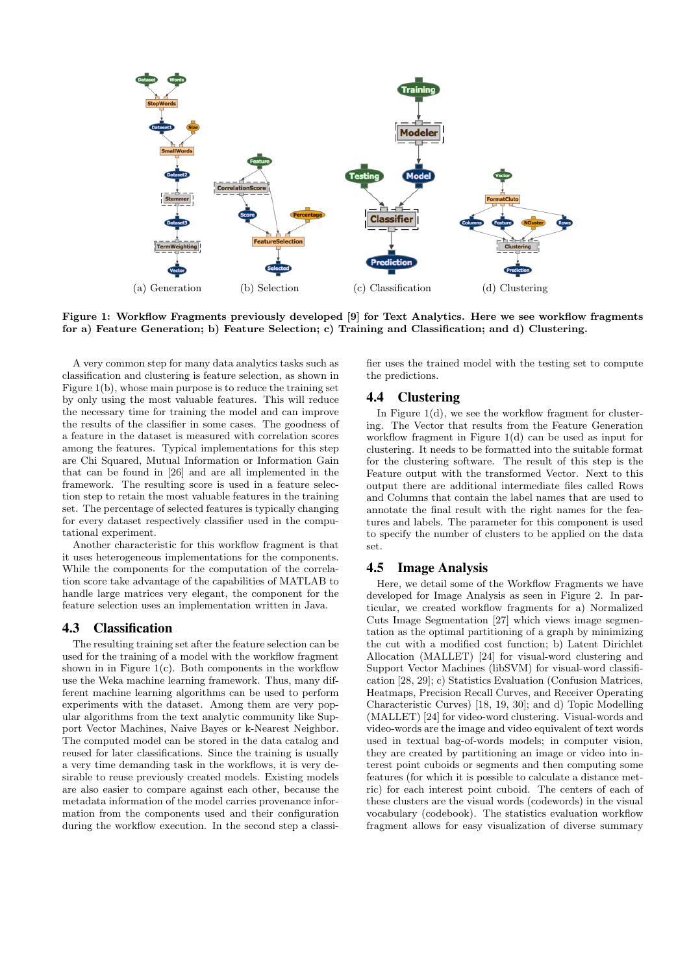

Figure 1: Workflow Fragments previously developed [9] for Text Analytics. Here we see workflow fragments for a) Feature Generation; b) Feature Selection; c) Training and Classification; and d) Clustering.

A very common step for many data analytics tasks such as classification and clustering is feature selection, as shown in Figure 1(b), whose main purpose is to reduce the training set by only using the most valuable features. This will reduce the necessary time for training the model and can improve the results of the classifier in some cases. The goodness of a feature in the dataset is measured with correlation scores among the features. Typical implementations for this step are Chi Squared, Mutual Information or Information Gain that can be found in [26] and are all implemented in the framework. The resulting score is used in a feature selection step to retain the most valuable features in the training set. The percentage of selected features is typically changing for every dataset respectively classifier used in the computational experiment.

Another characteristic for this workflow fragment is that it uses heterogeneous implementations for the components. While the components for the computation of the correlation score take advantage of the capabilities of MATLAB to handle large matrices very elegant, the component for the feature selection uses an implementation written in Java.

### 4.3 Classification

The resulting training set after the feature selection can be used for the training of a model with the workflow fragment shown in in Figure  $1(c)$ . Both components in the workflow use the Weka machine learning framework. Thus, many different machine learning algorithms can be used to perform experiments with the dataset. Among them are very popular algorithms from the text analytic community like Support Vector Machines, Naive Bayes or k-Nearest Neighbor. The computed model can be stored in the data catalog and reused for later classifications. Since the training is usually a very time demanding task in the workflows, it is very desirable to reuse previously created models. Existing models are also easier to compare against each other, because the metadata information of the model carries provenance information from the components used and their configuration during the workflow execution. In the second step a classifier uses the trained model with the testing set to compute the predictions.

### 4.4 Clustering

In Figure  $1(d)$ , we see the workflow fragment for clustering. The Vector that results from the Feature Generation workflow fragment in Figure 1(d) can be used as input for clustering. It needs to be formatted into the suitable format for the clustering software. The result of this step is the Feature output with the transformed Vector. Next to this output there are additional intermediate files called Rows and Columns that contain the label names that are used to annotate the final result with the right names for the features and labels. The parameter for this component is used to specify the number of clusters to be applied on the data set.

### 4.5 Image Analysis

Here, we detail some of the Workflow Fragments we have developed for Image Analysis as seen in Figure 2. In particular, we created workflow fragments for a) Normalized Cuts Image Segmentation [27] which views image segmentation as the optimal partitioning of a graph by minimizing the cut with a modified cost function; b) Latent Dirichlet Allocation (MALLET) [24] for visual-word clustering and Support Vector Machines (libSVM) for visual-word classification [28, 29]; c) Statistics Evaluation (Confusion Matrices, Heatmaps, Precision Recall Curves, and Receiver Operating Characteristic Curves) [18, 19, 30]; and d) Topic Modelling (MALLET) [24] for video-word clustering. Visual-words and video-words are the image and video equivalent of text words used in textual bag-of-words models; in computer vision, they are created by partitioning an image or video into interest point cuboids or segments and then computing some features (for which it is possible to calculate a distance metric) for each interest point cuboid. The centers of each of these clusters are the visual words (codewords) in the visual vocabulary (codebook). The statistics evaluation workflow fragment allows for easy visualization of diverse summary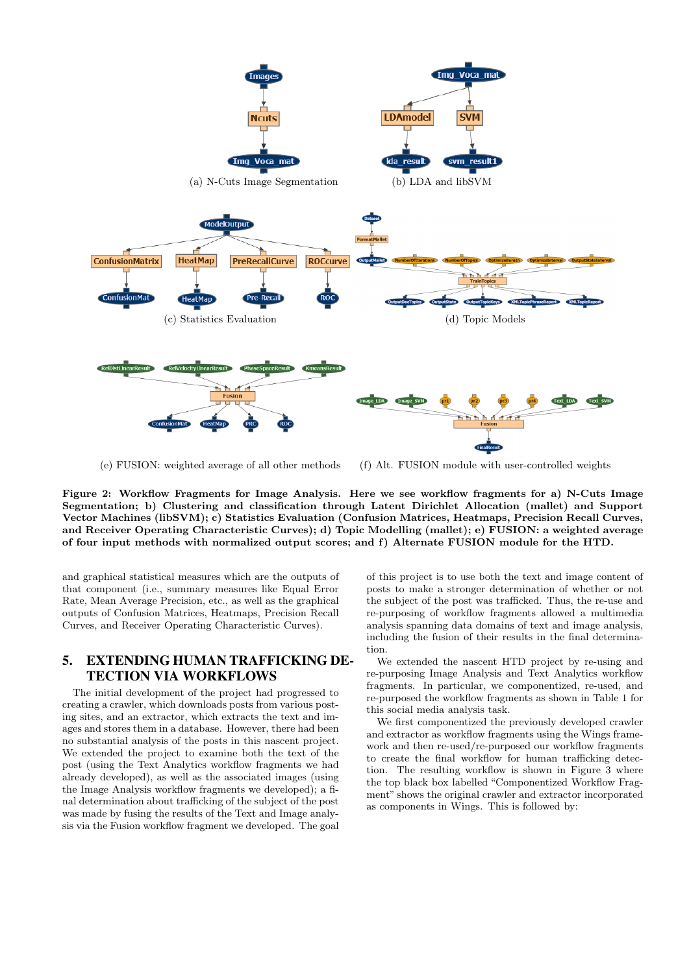

(e) FUSION: weighted average of all other methods (f) Alt. FUSION module with user-controlled weights

Figure 2: Workflow Fragments for Image Analysis. Here we see workflow fragments for a) N-Cuts Image Segmentation; b) Clustering and classification through Latent Dirichlet Allocation (mallet) and Support Vector Machines (libSVM); c) Statistics Evaluation (Confusion Matrices, Heatmaps, Precision Recall Curves, and Receiver Operating Characteristic Curves); d) Topic Modelling (mallet); e) FUSION: a weighted average of four input methods with normalized output scores; and f) Alternate FUSION module for the HTD.

and graphical statistical measures which are the outputs of that component (i.e., summary measures like Equal Error Rate, Mean Average Precision, etc., as well as the graphical outputs of Confusion Matrices, Heatmaps, Precision Recall Curves, and Receiver Operating Characteristic Curves).

# 5. EXTENDING HUMAN TRAFFICKING DE-TECTION VIA WORKFLOWS

The initial development of the project had progressed to creating a crawler, which downloads posts from various posting sites, and an extractor, which extracts the text and images and stores them in a database. However, there had been no substantial analysis of the posts in this nascent project. We extended the project to examine both the text of the post (using the Text Analytics workflow fragments we had already developed), as well as the associated images (using the Image Analysis workflow fragments we developed); a final determination about trafficking of the subject of the post was made by fusing the results of the Text and Image analysis via the Fusion workflow fragment we developed. The goal

of this project is to use both the text and image content of posts to make a stronger determination of whether or not the subject of the post was trafficked. Thus, the re-use and re-purposing of workflow fragments allowed a multimedia analysis spanning data domains of text and image analysis, including the fusion of their results in the final determination.

We extended the nascent HTD project by re-using and re-purposing Image Analysis and Text Analytics workflow fragments. In particular, we componentized, re-used, and re-purposed the workflow fragments as shown in Table 1 for this social media analysis task.

We first componentized the previously developed crawler and extractor as workflow fragments using the Wings framework and then re-used/re-purposed our workflow fragments to create the final workflow for human trafficking detection. The resulting workflow is shown in Figure 3 where the top black box labelled "Componentized Workflow Fragment" shows the original crawler and extractor incorporated as components in Wings. This is followed by: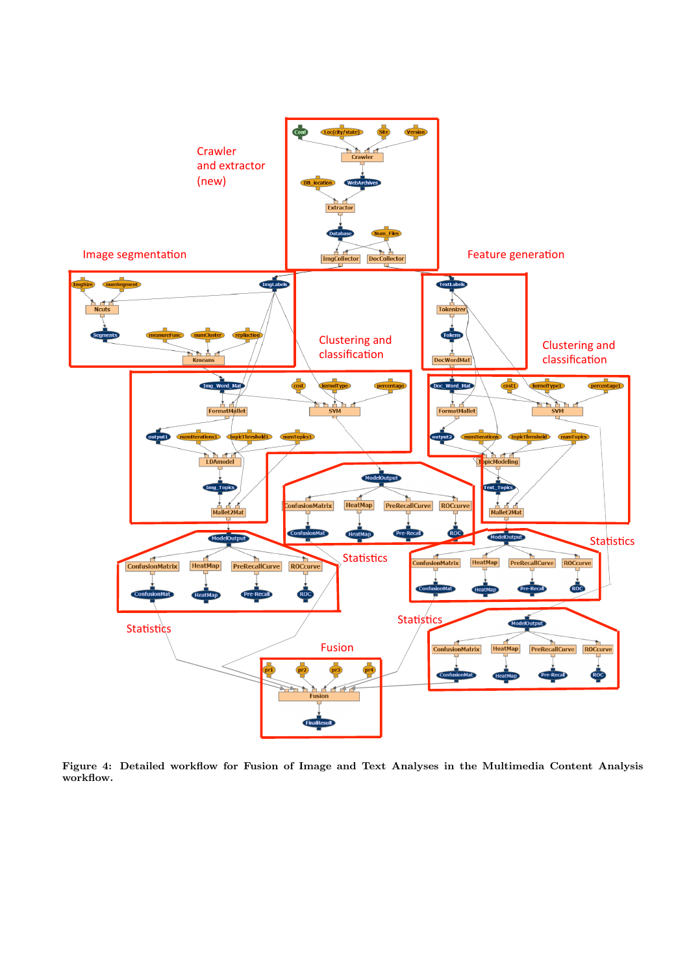

Figure 4: Detailed workflow for Fusion of Image and Text Analyses in the Multimedia Content Analysis workflow.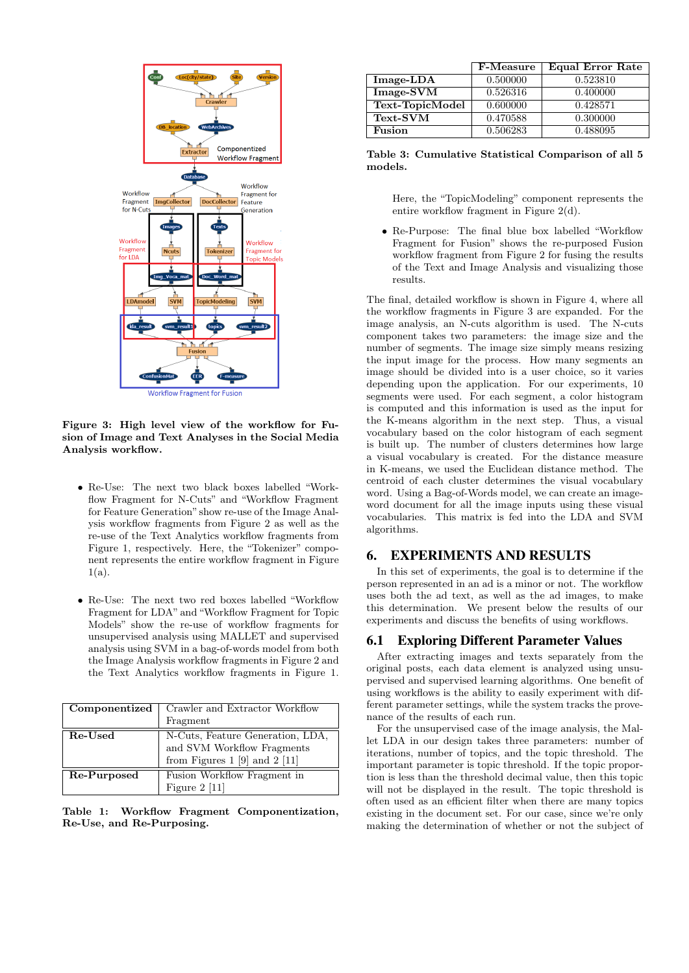

#### Figure 3: High level view of the workflow for Fusion of Image and Text Analyses in the Social Media Analysis workflow.

- Re-Use: The next two black boxes labelled "Workflow Fragment for N-Cuts" and "Workflow Fragment for Feature Generation" show re-use of the Image Analysis workflow fragments from Figure 2 as well as the re-use of the Text Analytics workflow fragments from Figure 1, respectively. Here, the "Tokenizer" component represents the entire workflow fragment in Figure  $1(a)$ .
- Re-Use: The next two red boxes labelled "Workflow Fragment for LDA" and "Workflow Fragment for Topic Models" show the re-use of workflow fragments for unsupervised analysis using MALLET and supervised analysis using SVM in a bag-of-words model from both the Image Analysis workflow fragments in Figure 2 and the Text Analytics workflow fragments in Figure 1.

| Componentized | Crawler and Extractor Workflow<br>Fragment                                                      |
|---------------|-------------------------------------------------------------------------------------------------|
| Re-Used       | N-Cuts, Feature Generation, LDA,<br>and SVM Workflow Fragments<br>from Figures 1 [9] and 2 [11] |
| Re-Purposed   | Fusion Workflow Fragment in<br>Figure $2$ [11]                                                  |

Table 1: Workflow Fragment Componentization, Re-Use, and Re-Purposing.

|                 | <b>F-Measure</b> | Equal Error Rate |
|-----------------|------------------|------------------|
| Image-LDA       | 0.500000         | 0.523810         |
| Image-SVM       | 0.526316         | 0.400000         |
| Text-TopicModel | 0.600000         | 0.428571         |
| <b>Text-SVM</b> | 0.470588         | 0.300000         |
| <b>Fusion</b>   | 0.506283         | 0.488095         |

Table 3: Cumulative Statistical Comparison of all 5 models.

Here, the "TopicModeling" component represents the entire workflow fragment in Figure 2(d).

• Re-Purpose: The final blue box labelled "Workflow Fragment for Fusion" shows the re-purposed Fusion workflow fragment from Figure 2 for fusing the results of the Text and Image Analysis and visualizing those results.

The final, detailed workflow is shown in Figure 4, where all the workflow fragments in Figure 3 are expanded. For the image analysis, an N-cuts algorithm is used. The N-cuts component takes two parameters: the image size and the number of segments. The image size simply means resizing the input image for the process. How many segments an image should be divided into is a user choice, so it varies depending upon the application. For our experiments, 10 segments were used. For each segment, a color histogram is computed and this information is used as the input for the K-means algorithm in the next step. Thus, a visual vocabulary based on the color histogram of each segment is built up. The number of clusters determines how large a visual vocabulary is created. For the distance measure in K-means, we used the Euclidean distance method. The centroid of each cluster determines the visual vocabulary word. Using a Bag-of-Words model, we can create an imageword document for all the image inputs using these visual vocabularies. This matrix is fed into the LDA and SVM algorithms.

## 6. EXPERIMENTS AND RESULTS

In this set of experiments, the goal is to determine if the person represented in an ad is a minor or not. The workflow uses both the ad text, as well as the ad images, to make this determination. We present below the results of our experiments and discuss the benefits of using workflows.

# 6.1 Exploring Different Parameter Values

After extracting images and texts separately from the original posts, each data element is analyzed using unsupervised and supervised learning algorithms. One benefit of using workflows is the ability to easily experiment with different parameter settings, while the system tracks the provenance of the results of each run.

For the unsupervised case of the image analysis, the Mallet LDA in our design takes three parameters: number of iterations, number of topics, and the topic threshold. The important parameter is topic threshold. If the topic proportion is less than the threshold decimal value, then this topic will not be displayed in the result. The topic threshold is often used as an efficient filter when there are many topics existing in the document set. For our case, since we're only making the determination of whether or not the subject of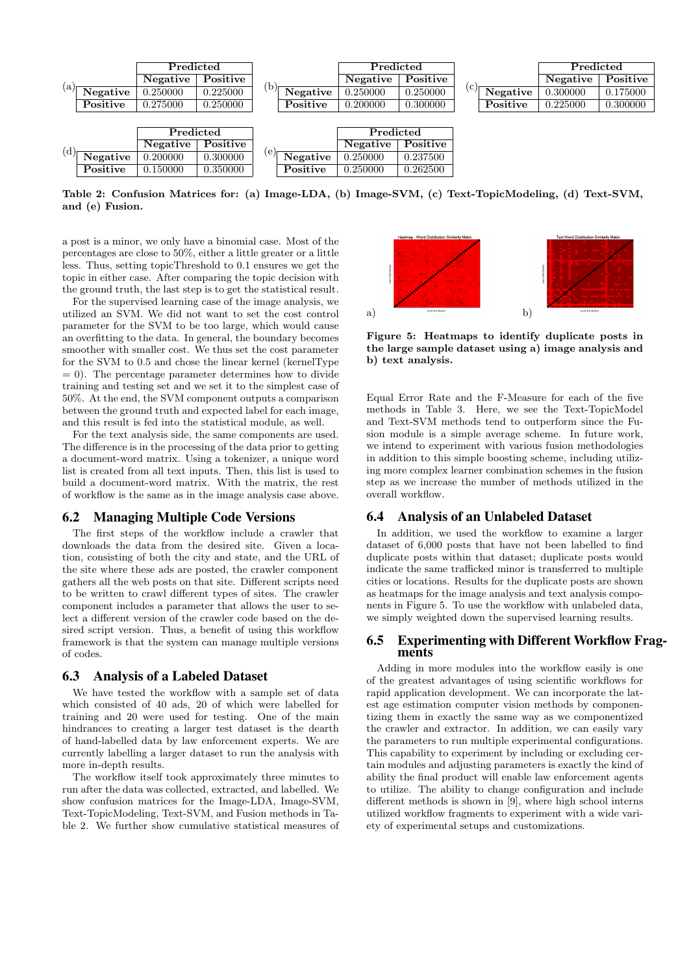

Table 2: Confusion Matrices for: (a) Image-LDA, (b) Image-SVM, (c) Text-TopicModeling, (d) Text-SVM, and (e) Fusion.

a post is a minor, we only have a binomial case. Most of the percentages are close to 50%, either a little greater or a little less. Thus, setting topicThreshold to 0.1 ensures we get the topic in either case. After comparing the topic decision with the ground truth, the last step is to get the statistical result.

For the supervised learning case of the image analysis, we utilized an SVM. We did not want to set the cost control parameter for the SVM to be too large, which would cause an overfitting to the data. In general, the boundary becomes smoother with smaller cost. We thus set the cost parameter for the SVM to 0.5 and chose the linear kernel (kernelType  $= 0$ ). The percentage parameter determines how to divide training and testing set and we set it to the simplest case of 50%. At the end, the SVM component outputs a comparison between the ground truth and expected label for each image, and this result is fed into the statistical module, as well.

For the text analysis side, the same components are used. The difference is in the processing of the data prior to getting a document-word matrix. Using a tokenizer, a unique word list is created from all text inputs. Then, this list is used to build a document-word matrix. With the matrix, the rest of workflow is the same as in the image analysis case above.

### 6.2 Managing Multiple Code Versions

The first steps of the workflow include a crawler that downloads the data from the desired site. Given a location, consisting of both the city and state, and the URL of the site where these ads are posted, the crawler component gathers all the web posts on that site. Different scripts need to be written to crawl different types of sites. The crawler component includes a parameter that allows the user to select a different version of the crawler code based on the desired script version. Thus, a benefit of using this workflow framework is that the system can manage multiple versions of codes.

#### 6.3 Analysis of a Labeled Dataset

We have tested the workflow with a sample set of data which consisted of 40 ads, 20 of which were labelled for training and 20 were used for testing. One of the main hindrances to creating a larger test dataset is the dearth of hand-labelled data by law enforcement experts. We are currently labelling a larger dataset to run the analysis with more in-depth results.

The workflow itself took approximately three minutes to run after the data was collected, extracted, and labelled. We show confusion matrices for the Image-LDA, Image-SVM, Text-TopicModeling, Text-SVM, and Fusion methods in Table 2. We further show cumulative statistical measures of



Figure 5: Heatmaps to identify duplicate posts in the large sample dataset using a) image analysis and b) text analysis.

Equal Error Rate and the F-Measure for each of the five methods in Table 3. Here, we see the Text-TopicModel and Text-SVM methods tend to outperform since the Fusion module is a simple average scheme. In future work, we intend to experiment with various fusion methodologies in addition to this simple boosting scheme, including utilizing more complex learner combination schemes in the fusion step as we increase the number of methods utilized in the overall workflow.

### 6.4 Analysis of an Unlabeled Dataset

In addition, we used the workflow to examine a larger dataset of 6,000 posts that have not been labelled to find duplicate posts within that dataset; duplicate posts would indicate the same trafficked minor is transferred to multiple cities or locations. Results for the duplicate posts are shown as heatmaps for the image analysis and text analysis components in Figure 5. To use the workflow with unlabeled data, we simply weighted down the supervised learning results.

### 6.5 Experimenting with Different Workflow Fragments

Adding in more modules into the workflow easily is one of the greatest advantages of using scientific workflows for rapid application development. We can incorporate the latest age estimation computer vision methods by componentizing them in exactly the same way as we componentized the crawler and extractor. In addition, we can easily vary the parameters to run multiple experimental configurations. This capability to experiment by including or excluding certain modules and adjusting parameters is exactly the kind of ability the final product will enable law enforcement agents to utilize. The ability to change configuration and include different methods is shown in [9], where high school interns utilized workflow fragments to experiment with a wide variety of experimental setups and customizations.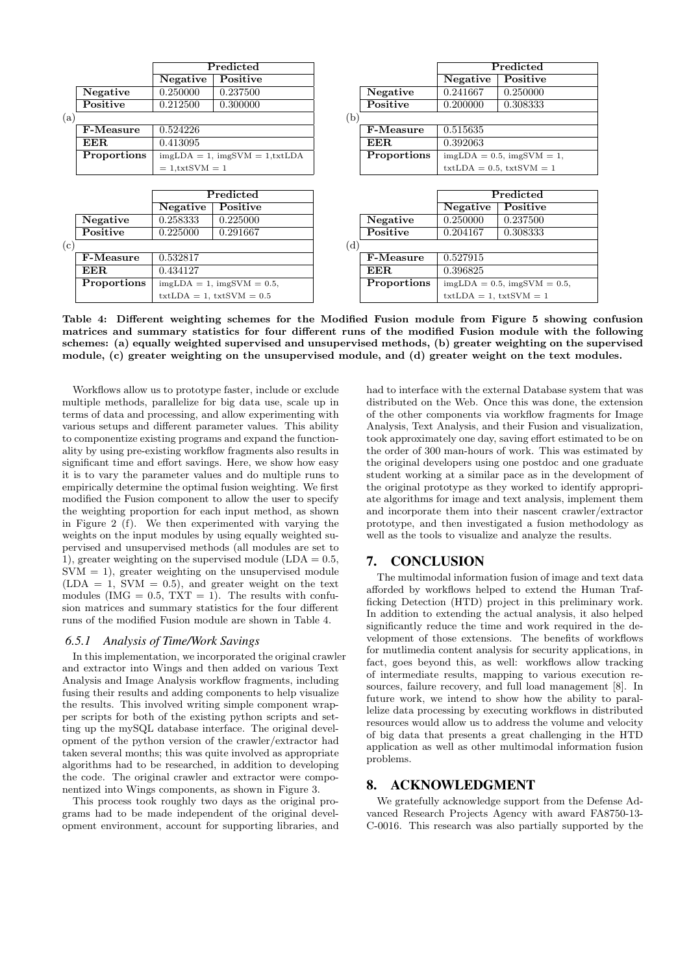|     |                                                                                                        | Predicted                          |          |             |                                   | Predicted                       |          |
|-----|--------------------------------------------------------------------------------------------------------|------------------------------------|----------|-------------|-----------------------------------|---------------------------------|----------|
|     |                                                                                                        | <b>Negative</b>                    | Positive |             |                                   | Negative                        | Positive |
|     | Negative                                                                                               | 0.250000                           | 0.237500 |             | Negative                          | 0.241667                        | 0.250000 |
|     | Positive                                                                                               | 0.212500                           | 0.300000 |             | Positive                          | 0.200000                        | 0.308333 |
| (a) |                                                                                                        |                                    | (b)      |             |                                   |                                 |          |
|     | <b>F-Measure</b>                                                                                       | 0.524226                           |          |             | <b>F-Measure</b>                  | 0.515635                        |          |
|     | <b>EER</b><br>0.413095                                                                                 |                                    |          | <b>EER</b>  | 0.392063                          |                                 |          |
|     | Proportions                                                                                            | $imgLDA = 1$ , $imgSVM = 1,txtLDA$ |          |             | Proportions                       | $imgLDA = 0.5$ , $imgSVM = 1$ , |          |
|     |                                                                                                        | $= 1, \text{txtSVM} = 1$           |          |             |                                   | $txtLDA = 0.5, txtSVM = 1$      |          |
|     |                                                                                                        |                                    |          |             |                                   |                                 |          |
|     |                                                                                                        | Predicted                          |          |             |                                   | Predicted                       |          |
|     |                                                                                                        | Negative                           | Positive |             |                                   | Negative                        | Positive |
|     | Negative                                                                                               | 0.258333                           | 0.225000 |             | Negative                          | 0.250000                        | 0.237500 |
|     | Positive                                                                                               | 0.225000                           | 0.291667 |             | Positive                          | 0.204167                        | 0.308333 |
| (c) |                                                                                                        |                                    | (d)      |             |                                   |                                 |          |
|     | <b>F-Measure</b>                                                                                       | 0.532817                           |          |             | <b>F-Measure</b>                  | 0.527915                        |          |
|     | <b>EER</b><br>0.434127<br>Proportions<br>$imgLDA = 1$ , $imgSVM = 0.5$ ,<br>$txtLDA = 1, txtSVM = 0.5$ |                                    |          | <b>EER</b>  | 0.396825                          |                                 |          |
|     |                                                                                                        |                                    |          | Proportions | $imgLDA = 0.5$ , $imgSVM = 0.5$ , |                                 |          |
|     |                                                                                                        |                                    |          |             | $txtLDA = 1, txtSVM = 1$          |                                 |          |

Table 4: Different weighting schemes for the Modified Fusion module from Figure 5 showing confusion matrices and summary statistics for four different runs of the modified Fusion module with the following schemes: (a) equally weighted supervised and unsupervised methods, (b) greater weighting on the supervised module, (c) greater weighting on the unsupervised module, and (d) greater weight on the text modules.

Workflows allow us to prototype faster, include or exclude multiple methods, parallelize for big data use, scale up in terms of data and processing, and allow experimenting with various setups and different parameter values. This ability to componentize existing programs and expand the functionality by using pre-existing workflow fragments also results in significant time and effort savings. Here, we show how easy it is to vary the parameter values and do multiple runs to empirically determine the optimal fusion weighting. We first modified the Fusion component to allow the user to specify the weighting proportion for each input method, as shown in Figure 2 (f). We then experimented with varying the weights on the input modules by using equally weighted supervised and unsupervised methods (all modules are set to 1), greater weighting on the supervised module ( $LDA = 0.5$ ,  $SVM = 1$ , greater weighting on the unsupervised module  $(LDA = 1, \text{ SVM} = 0.5)$ , and greater weight on the text modules (IMG  $= 0.5$ , TXT  $= 1$ ). The results with confusion matrices and summary statistics for the four different runs of the modified Fusion module are shown in Table 4.

### *6.5.1 Analysis of Time/Work Savings*

In this implementation, we incorporated the original crawler and extractor into Wings and then added on various Text Analysis and Image Analysis workflow fragments, including fusing their results and adding components to help visualize the results. This involved writing simple component wrapper scripts for both of the existing python scripts and setting up the mySQL database interface. The original development of the python version of the crawler/extractor had taken several months; this was quite involved as appropriate algorithms had to be researched, in addition to developing the code. The original crawler and extractor were componentized into Wings components, as shown in Figure 3.

This process took roughly two days as the original programs had to be made independent of the original development environment, account for supporting libraries, and had to interface with the external Database system that was distributed on the Web. Once this was done, the extension of the other components via workflow fragments for Image Analysis, Text Analysis, and their Fusion and visualization, took approximately one day, saving effort estimated to be on the order of 300 man-hours of work. This was estimated by the original developers using one postdoc and one graduate student working at a similar pace as in the development of the original prototype as they worked to identify appropriate algorithms for image and text analysis, implement them and incorporate them into their nascent crawler/extractor prototype, and then investigated a fusion methodology as well as the tools to visualize and analyze the results.

# 7. CONCLUSION

The multimodal information fusion of image and text data afforded by workflows helped to extend the Human Trafficking Detection (HTD) project in this preliminary work. In addition to extending the actual analysis, it also helped significantly reduce the time and work required in the development of those extensions. The benefits of workflows for mutlimedia content analysis for security applications, in fact, goes beyond this, as well: workflows allow tracking of intermediate results, mapping to various execution resources, failure recovery, and full load management [8]. In future work, we intend to show how the ability to parallelize data processing by executing workflows in distributed resources would allow us to address the volume and velocity of big data that presents a great challenging in the HTD application as well as other multimodal information fusion problems.

### 8. ACKNOWLEDGMENT

We gratefully acknowledge support from the Defense Advanced Research Projects Agency with award FA8750-13- C-0016. This research was also partially supported by the